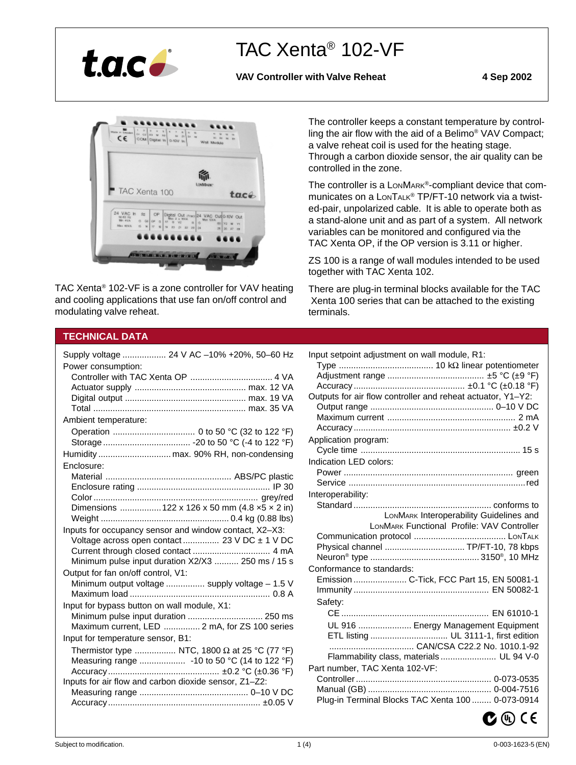

# TAC Xenta® 102-VF

VAV Controller with Valve Reheat 4 Sep 2002



TAC Xenta® 102-VF is a zone controller for VAV heating and cooling applications that use fan on/off control and modulating valve reheat.

The controller keeps a constant temperature by controlling the air flow with the aid of a Belimo® VAV Compact; a valve reheat coil is used for the heating stage. Through a carbon dioxide sensor, the air quality can be controlled in the zone.

The controller is a LonMARK®-compliant device that communicates on a LONTALK® TP/FT-10 network via a twisted-pair, unpolarized cable. It is able to operate both as a stand-alone unit and as part of a system. All network variables can be monitored and configured via the TAC Xenta OP, if the OP version is 3.11 or higher.

ZS 100 is a range of wall modules intended to be used together with TAC Xenta 102.

There are plug-in terminal blocks available for the TAC Xenta 100 series that can be attached to the existing terminals.

# **TECHNICAL DATA**

|                                             | Supply voltage  24 V AC -10% +20%, 50-60 Hz            |
|---------------------------------------------|--------------------------------------------------------|
| Power consumption:                          |                                                        |
|                                             |                                                        |
|                                             |                                                        |
|                                             |                                                        |
|                                             |                                                        |
| Ambient temperature:                        |                                                        |
|                                             |                                                        |
|                                             |                                                        |
|                                             |                                                        |
| Enclosure:                                  |                                                        |
|                                             |                                                        |
|                                             |                                                        |
|                                             |                                                        |
|                                             | Dimensions  122 x 126 x 50 mm (4.8 x5 x 2 in)          |
|                                             |                                                        |
|                                             | Inputs for occupancy sensor and window contact, X2-X3: |
|                                             | Voltage across open contact 23 V DC ± 1 V DC           |
|                                             |                                                        |
|                                             | Minimum pulse input duration X2/X3  250 ms / 15 s      |
| Output for fan on/off control, V1:          |                                                        |
|                                             | Minimum output voltage  supply voltage – 1.5 V         |
|                                             |                                                        |
| Input for bypass button on wall module, X1: |                                                        |
|                                             | Minimum pulse input duration  250 ms                   |
|                                             | Maximum current, LED  2 mA, for ZS 100 series          |
| Input for temperature sensor, B1:           |                                                        |
|                                             | Thermistor type  NTC, 1800 $\Omega$ at 25 °C (77 °F)   |
|                                             | Measuring range  - 10 to 50 °C (14 to 122 °F)          |
|                                             |                                                        |
|                                             | Inputs for air flow and carbon dioxide sensor, Z1-Z2:  |
|                                             |                                                        |
|                                             |                                                        |

| Input setpoint adjustment on wall module, R1:               |
|-------------------------------------------------------------|
|                                                             |
|                                                             |
|                                                             |
| Outputs for air flow controller and reheat actuator, Y1-Y2: |
|                                                             |
|                                                             |
|                                                             |
| Application program:                                        |
|                                                             |
| Indication LED colors:                                      |
|                                                             |
|                                                             |
| Interoperability:                                           |
|                                                             |
| LONMARK Interoperability Guidelines and                     |
| LONMARK Functional Profile: VAV Controller                  |
|                                                             |
| Physical channel  TP/FT-10, 78 kbps                         |
|                                                             |
| Conformance to standards:                                   |
| Emission  C-Tick, FCC Part 15, EN 50081-1                   |
|                                                             |
| Safety:                                                     |
|                                                             |
| UL 916  Energy Management Equipment                         |
| ETL listing  UL 3111-1, first edition                       |
|                                                             |
| Flammability class, materials UL 94 V-0                     |
| Part number, TAC Xenta 102-VF:                              |
|                                                             |
|                                                             |
| Plug-in Terminal Blocks TAC Xenta 100  0-073-0914           |
|                                                             |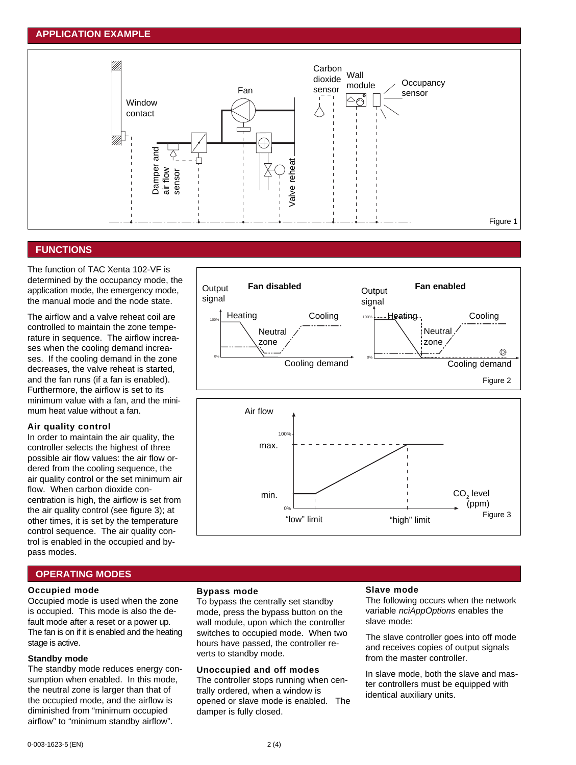# **APPLICATION EXAMPLE**



# **FUNCTIONS**

The function of TAC Xenta 102-VF is determined by the occupancy mode, the application mode, the emergency mode, the manual mode and the node state.

The airflow and a valve reheat coil are controlled to maintain the zone temperature in sequence. The airflow increases when the cooling demand increases. If the cooling demand in the zone decreases, the valve reheat is started, and the fan runs (if a fan is enabled). Furthermore, the airflow is set to its minimum value with a fan, and the minimum heat value without a fan.

#### **Air quality control**

In order to maintain the air quality, the controller selects the highest of three possible air flow values: the air flow ordered from the cooling sequence, the air quality control or the set minimum air flow. When carbon dioxide concentration is high, the airflow is set from the air quality control (see figure 3); at other times, it is set by the temperature control sequence. The air quality control is enabled in the occupied and bypass modes.



# **OPERATING MODES**

#### **Occupied mode**

Occupied mode is used when the zone is occupied. This mode is also the default mode after a reset or a power up. The fan is on if it is enabled and the heating stage is active.

# **Standby mode**

The standby mode reduces energy consumption when enabled. In this mode, the neutral zone is larger than that of the occupied mode, and the airflow is diminished from "minimum occupied airflow" to "minimum standby airflow".

#### **Bypass mode**

To bypass the centrally set standby mode, press the bypass button on the wall module, upon which the controller switches to occupied mode. When two hours have passed, the controller reverts to standby mode.

#### **Unoccupied and off modes**

The controller stops running when centrally ordered, when a window is opened or slave mode is enabled. The damper is fully closed.

#### **Slave mode**

The following occurs when the network variable *nciAppOptions* enables the slave mode:

The slave controller goes into off mode and receives copies of output signals from the master controller.

In slave mode, both the slave and master controllers must be equipped with identical auxiliary units.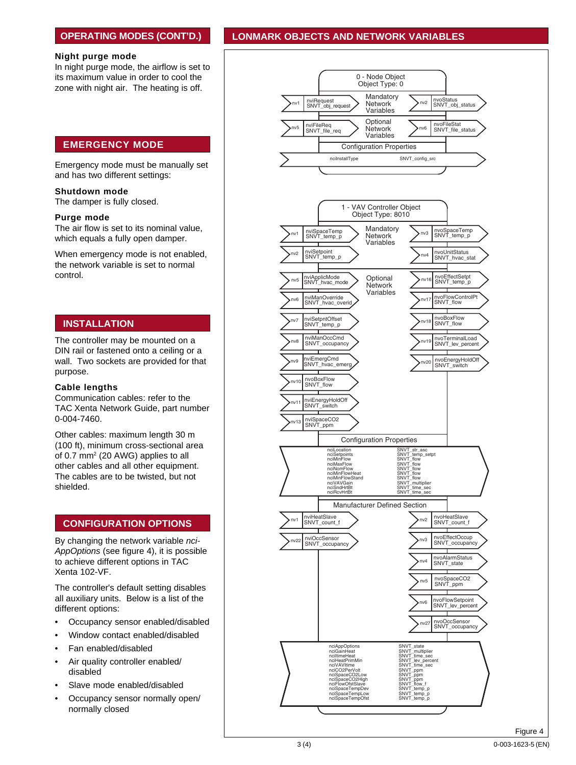# **OPERATING MODES (CONT'D.)**

#### Night purge mode

In night purge mode, the airflow is set to its maximum value in order to cool the zone with night air. The heating is off.

# **EMERGENCY MODE**

Emergency mode must be manually set and has two different settings:

#### Shutdown mode

The damper is fully closed.

#### Purge mode

The air flow is set to its nominal value, which equals a fully open damper.

When emergency mode is not enabled, the network variable is set to normal control.

# **INSTALLATION**

The controller may be mounted on a DIN rail or fastened onto a ceiling or a wall. Two sockets are provided for that purpose.

#### **Cable lengths**

Communication cables: refer to the TAC Xenta Network Guide, part number 0-004-7460.

Other cables: maximum length 30 m (100 ft), minimum cross-sectional area of 0.7 mm<sup>2</sup> (20 AWG) applies to all other cables and all other equipment. The cables are to be twisted, but not shielded.

# **CONFIGURATION OPTIONS**

By changing the network variable nci-AppOptions (see figure 4), it is possible to achieve different options in TAC Xenta 102-VF.

The controller's default setting disables all auxiliary units. Below is a list of the different options:

- Occupancy sensor enabled/disabled
- Window contact enabled/disabled
- Fan enabled/disabled
- Air quality controller enabled/ disabled
- Slave mode enabled/disabled
- Occupancy sensor normally open/ normally closed

# **LONMARK OBJECTS AND NETWORK VARIABLES**